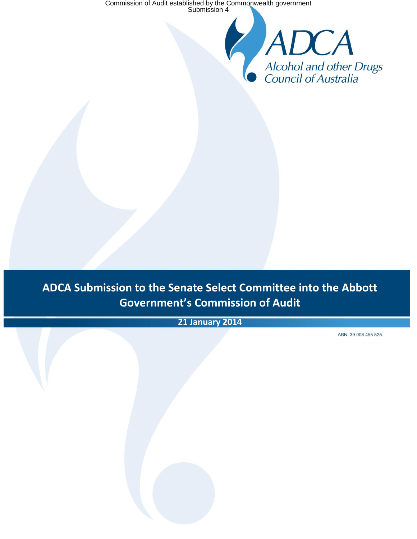Commission of Audit established by the Commonwealth government Submission 4

**ADCA Submission to the Senate Select Committee into the Abbott Government's Commission of Audit**

**ADCA Submission to the Senate Select Committee into the Abbott Government's Commission of Audit**

**21 January 2014**

ABN: 39 008 455 525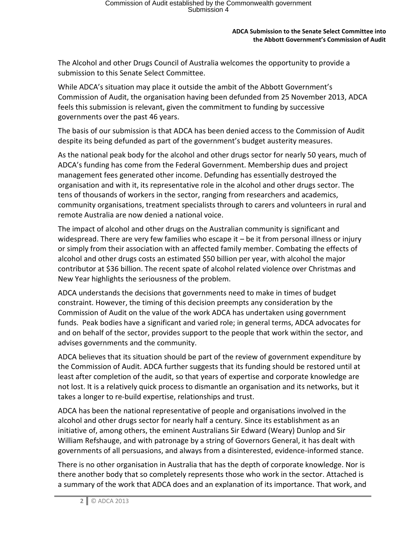The Alcohol and other Drugs Council of Australia welcomes the opportunity to provide a submission to this Senate Select Committee.

While ADCA's situation may place it outside the ambit of the Abbott Government's Commission of Audit, the organisation having been defunded from 25 November 2013, ADCA feels this submission is relevant, given the commitment to funding by successive governments over the past 46 years.

The basis of our submission is that ADCA has been denied access to the Commission of Audit despite its being defunded as part of the government's budget austerity measures.

As the national peak body for the alcohol and other drugs sector for nearly 50 years, much of ADCA's funding has come from the Federal Government. Membership dues and project management fees generated other income. Defunding has essentially destroyed the organisation and with it, its representative role in the alcohol and other drugs sector. The tens of thousands of workers in the sector, ranging from researchers and academics, community organisations, treatment specialists through to carers and volunteers in rural and remote Australia are now denied a national voice.

The impact of alcohol and other drugs on the Australian community is significant and widespread. There are very few families who escape it – be it from personal illness or injury or simply from their association with an affected family member. Combating the effects of alcohol and other drugs costs an estimated \$50 billion per year, with alcohol the major contributor at \$36 billion. The recent spate of alcohol related violence over Christmas and New Year highlights the seriousness of the problem.

ADCA understands the decisions that governments need to make in times of budget constraint. However, the timing of this decision preempts any consideration by the Commission of Audit on the value of the work ADCA has undertaken using government funds. Peak bodies have a significant and varied role; in general terms, ADCA advocates for and on behalf of the sector, provides support to the people that work within the sector, and advises governments and the community.

ADCA believes that its situation should be part of the review of government expenditure by the Commission of Audit. ADCA further suggests that its funding should be restored until at least after completion of the audit, so that years of expertise and corporate knowledge are not lost. It is a relatively quick process to dismantle an organisation and its networks, but it takes a longer to re-build expertise, relationships and trust.

ADCA has been the national representative of people and organisations involved in the alcohol and other drugs sector for nearly half a century. Since its establishment as an initiative of, among others, the eminent Australians Sir Edward (Weary) Dunlop and Sir William Refshauge, and with patronage by a string of Governors General, it has dealt with governments of all persuasions, and always from a disinterested, evidence-informed stance.

There is no other organisation in Australia that has the depth of corporate knowledge. Nor is there another body that so completely represents those who work in the sector. Attached is a summary of the work that ADCA does and an explanation of its importance. That work, and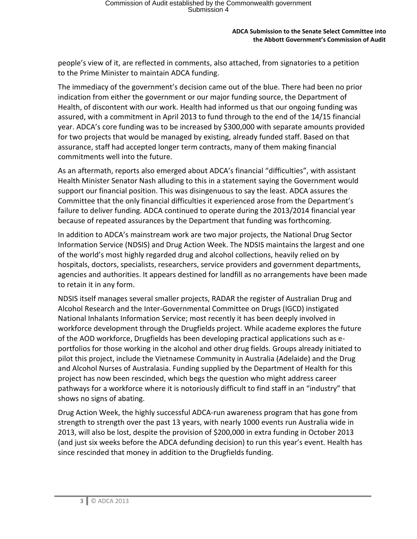people's view of it, are reflected in comments, also attached, from signatories to a petition to the Prime Minister to maintain ADCA funding.

The immediacy of the government's decision came out of the blue. There had been no prior indication from either the government or our major funding source, the Department of Health, of discontent with our work. Health had informed us that our ongoing funding was assured, with a commitment in April 2013 to fund through to the end of the 14/15 financial year. ADCA's core funding was to be increased by \$300,000 with separate amounts provided for two projects that would be managed by existing, already funded staff. Based on that assurance, staff had accepted longer term contracts, many of them making financial commitments well into the future.

As an aftermath, reports also emerged about ADCA's financial "difficulties", with assistant Health Minister Senator Nash alluding to this in a statement saying the Government would support our financial position. This was disingenuous to say the least. ADCA assures the Committee that the only financial difficulties it experienced arose from the Department's failure to deliver funding. ADCA continued to operate during the 2013/2014 financial year because of repeated assurances by the Department that funding was forthcoming.

In addition to ADCA's mainstream work are two major projects, the National Drug Sector Information Service (NDSIS) and Drug Action Week. The NDSIS maintains the largest and one of the world's most highly regarded drug and alcohol collections, heavily relied on by hospitals, doctors, specialists, researchers, service providers and government departments, agencies and authorities. It appears destined for landfill as no arrangements have been made to retain it in any form.

NDSIS itself manages several smaller projects, RADAR the register of Australian Drug and Alcohol Research and the Inter-Governmental Committee on Drugs (IGCD) instigated National Inhalants Information Service; most recently it has been deeply involved in workforce development through the Drugfields project. While academe explores the future of the AOD workforce, Drugfields has been developing practical applications such as eportfolios for those working in the alcohol and other drug fields. Groups already initiated to pilot this project, include the Vietnamese Community in Australia (Adelaide) and the Drug and Alcohol Nurses of Australasia. Funding supplied by the Department of Health for this project has now been rescinded, which begs the question who might address career pathways for a workforce where it is notoriously difficult to find staff in an "industry" that shows no signs of abating.

Drug Action Week, the highly successful ADCA-run awareness program that has gone from strength to strength over the past 13 years, with nearly 1000 events run Australia wide in 2013, will also be lost, despite the provision of \$200,000 in extra funding in October 2013 (and just six weeks before the ADCA defunding decision) to run this year's event. Health has since rescinded that money in addition to the Drugfields funding.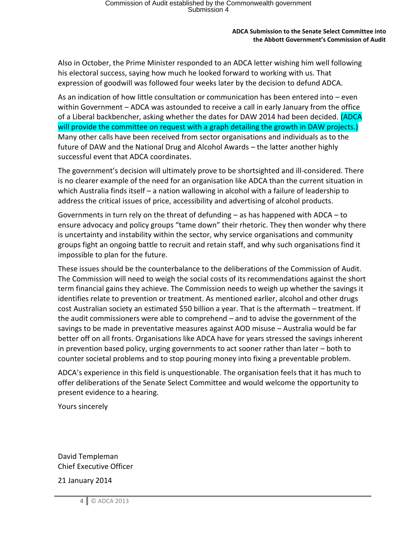Also in October, the Prime Minister responded to an ADCA letter wishing him well following his electoral success, saying how much he looked forward to working with us. That expression of goodwill was followed four weeks later by the decision to defund ADCA.

As an indication of how little consultation or communication has been entered into – even within Government – ADCA was astounded to receive a call in early January from the office of a Liberal backbencher, asking whether the dates for DAW 2014 had been decided. (ADCA will provide the committee on request with a graph detailing the growth in DAW projects.) Many other calls have been received from sector organisations and individuals as to the future of DAW and the National Drug and Alcohol Awards – the latter another highly successful event that ADCA coordinates.

The government's decision will ultimately prove to be shortsighted and ill-considered. There is no clearer example of the need for an organisation like ADCA than the current situation in which Australia finds itself – a nation wallowing in alcohol with a failure of leadership to address the critical issues of price, accessibility and advertising of alcohol products.

Governments in turn rely on the threat of defunding – as has happened with ADCA – to ensure advocacy and policy groups "tame down" their rhetoric. They then wonder why there is uncertainty and instability within the sector, why service organisations and community groups fight an ongoing battle to recruit and retain staff, and why such organisations find it impossible to plan for the future.

These issues should be the counterbalance to the deliberations of the Commission of Audit. The Commission will need to weigh the social costs of its recommendations against the short term financial gains they achieve. The Commission needs to weigh up whether the savings it identifies relate to prevention or treatment. As mentioned earlier, alcohol and other drugs cost Australian society an estimated \$50 billion a year. That is the aftermath – treatment. If the audit commissioners were able to comprehend – and to advise the government of the savings to be made in preventative measures against AOD misuse – Australia would be far better off on all fronts. Organisations like ADCA have for years stressed the savings inherent in prevention based policy, urging governments to act sooner rather than later – both to counter societal problems and to stop pouring money into fixing a preventable problem.

ADCA's experience in this field is unquestionable. The organisation feels that it has much to offer deliberations of the Senate Select Committee and would welcome the opportunity to present evidence to a hearing.

Yours sincerely

David Templeman Chief Executive Officer

21 January 2014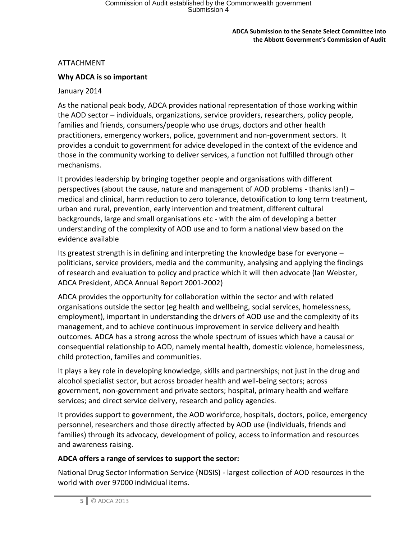## ATTACHMENT

# **Why ADCA is so important**

## January 2014

As the national peak body, ADCA provides national representation of those working within the AOD sector – individuals, organizations, service providers, researchers, policy people, families and friends, consumers/people who use drugs, doctors and other health practitioners, emergency workers, police, government and non-government sectors. It provides a conduit to government for advice developed in the context of the evidence and those in the community working to deliver services, a function not fulfilled through other mechanisms.

It provides leadership by bringing together people and organisations with different perspectives (about the cause, nature and management of AOD problems - thanks Ian!) – medical and clinical, harm reduction to zero tolerance, detoxification to long term treatment, urban and rural, prevention, early intervention and treatment, different cultural backgrounds, large and small organisations etc - with the aim of developing a better understanding of the complexity of AOD use and to form a national view based on the evidence available

Its greatest strength is in defining and interpreting the knowledge base for everyone – politicians, service providers, media and the community, analysing and applying the findings of research and evaluation to policy and practice which it will then advocate (Ian Webster, ADCA President, ADCA Annual Report 2001-2002)

ADCA provides the opportunity for collaboration within the sector and with related organisations outside the sector (eg health and wellbeing, social services, homelessness, employment), important in understanding the drivers of AOD use and the complexity of its management, and to achieve continuous improvement in service delivery and health outcomes. ADCA has a strong across the whole spectrum of issues which have a causal or consequential relationship to AOD, namely mental health, domestic violence, homelessness, child protection, families and communities.

It plays a key role in developing knowledge, skills and partnerships; not just in the drug and alcohol specialist sector, but across broader health and well-being sectors; across government, non-government and private sectors; hospital, primary health and welfare services; and direct service delivery, research and policy agencies.

It provides support to government, the AOD workforce, hospitals, doctors, police, emergency personnel, researchers and those directly affected by AOD use (individuals, friends and families) through its advocacy, development of policy, access to information and resources and awareness raising.

## **ADCA offers a range of services to support the sector:**

National Drug Sector Information Service (NDSIS) - largest collection of AOD resources in the world with over 97000 individual items.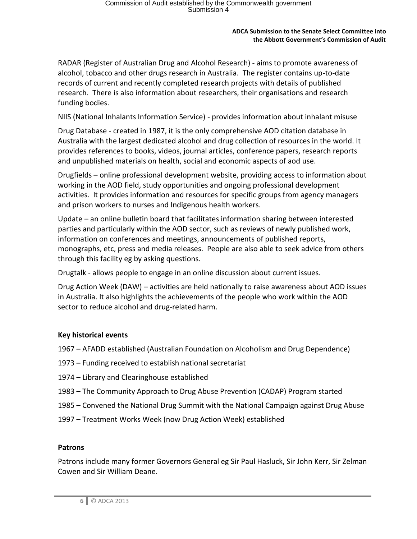RADAR (Register of Australian Drug and Alcohol Research) - aims to promote awareness of alcohol, tobacco and other drugs research in Australia. The register contains up-to-date records of current and recently completed research projects with details of published research. There is also information about researchers, their organisations and research funding bodies.

NIIS (National Inhalants Information Service) - provides information about inhalant misuse

Drug Database - created in 1987, it is the only comprehensive AOD citation database in Australia with the largest dedicated alcohol and drug collection of resources in the world. It provides references to books, videos, journal articles, conference papers, research reports and unpublished materials on health, social and economic aspects of aod use.

Drugfields – online professional development website, providing access to information about working in the AOD field, study opportunities and ongoing professional development activities. It provides information and resources for specific groups from agency managers and prison workers to nurses and Indigenous health workers.

Update – an online bulletin board that facilitates information sharing between interested parties and particularly within the AOD sector, such as reviews of newly published work, information on conferences and meetings, announcements of published reports, monographs, etc, press and media releases. People are also able to seek advice from others through this facility eg by asking questions.

Drugtalk - allows people to engage in an online discussion about current issues.

Drug Action Week (DAW) – activities are held nationally to raise awareness about AOD issues in Australia. It also highlights the achievements of the people who work within the AOD sector to reduce alcohol and drug-related harm.

# **Key historical events**

- 1967 AFADD established (Australian Foundation on Alcoholism and Drug Dependence)
- 1973 Funding received to establish national secretariat
- 1974 Library and Clearinghouse established
- 1983 The Community Approach to Drug Abuse Prevention (CADAP) Program started
- 1985 Convened the National Drug Summit with the National Campaign against Drug Abuse
- 1997 Treatment Works Week (now Drug Action Week) established

## **Patrons**

Patrons include many former Governors General eg Sir Paul Hasluck, Sir John Kerr, Sir Zelman Cowen and Sir William Deane.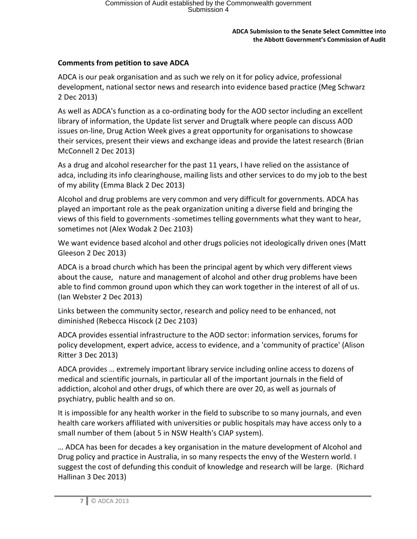# **Comments from petition to save ADCA**

ADCA is our peak organisation and as such we rely on it for policy advice, professional development, national sector news and research into evidence based practice (Meg Schwarz 2 Dec 2013)

As well as ADCA's function as a co-ordinating body for the AOD sector including an excellent library of information, the Update list server and Drugtalk where people can discuss AOD issues on-line, Drug Action Week gives a great opportunity for organisations to showcase their services, present their views and exchange ideas and provide the latest research (Brian McConnell 2 Dec 2013)

As a drug and alcohol researcher for the past 11 years, I have relied on the assistance of adca, including its info clearinghouse, mailing lists and other services to do my job to the best of my ability (Emma Black 2 Dec 2013)

Alcohol and drug problems are very common and very difficult for governments. ADCA has played an important role as the peak organization uniting a diverse field and bringing the views of this field to governments -sometimes telling governments what they want to hear, sometimes not (Alex Wodak 2 Dec 2103)

We want evidence based alcohol and other drugs policies not ideologically driven ones (Matt Gleeson 2 Dec 2013)

ADCA is a broad church which has been the principal agent by which very different views about the cause, nature and management of alcohol and other drug problems have been able to find common ground upon which they can work together in the interest of all of us. (Ian Webster 2 Dec 2013)

Links between the community sector, research and policy need to be enhanced, not diminished (Rebecca Hiscock (2 Dec 2103)

ADCA provides essential infrastructure to the AOD sector: information services, forums for policy development, expert advice, access to evidence, and a 'community of practice' (Alison Ritter 3 Dec 2013)

ADCA provides … extremely important library service including online access to dozens of medical and scientific journals, in particular all of the important journals in the field of addiction, alcohol and other drugs, of which there are over 20, as well as journals of psychiatry, public health and so on.

It is impossible for any health worker in the field to subscribe to so many journals, and even health care workers affiliated with universities or public hospitals may have access only to a small number of them (about 5 in NSW Health's CIAP system).

… ADCA has been for decades a key organisation in the mature development of Alcohol and Drug policy and practice in Australia, in so many respects the envy of the Western world. I suggest the cost of defunding this conduit of knowledge and research will be large. (Richard Hallinan 3 Dec 2013)